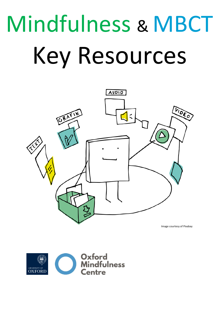# Mindfulness & MBCT Key Resources



Image courtesy of Pixabay

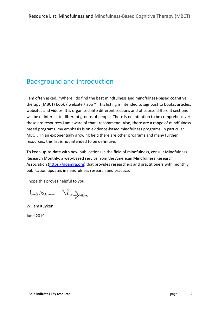# Background and introduction

I am often asked, "Where I do find the best mindfulness and mindfulness-based cognitive therapy (MBCT) book / website / app?" This listing is intended to signpost to books, articles, websites and videos. It is organised into different sections and of course different sections will be of interest to different groups of people. There is no intention to be comprehensive; these are resources I am aware of that I recommend. Also, there are a range of mindfulnessbased programs; my emphasis is on evidence-based mindfulness programs, in particular MBCT. In an exponentially growing field there are other programs and many further resources; this list is not intended to be definitive.

To keep up-to-date with new publications in the field of mindfulness, consult Mindfulness Research Monthly, a web-based service from the American Mindfulness Research Association [\(https://goamra.org\)](https://goamra.org/) that provides researchers and practitioners with monthly publication updates in mindfulness research and practice.

I hope this proves helpful to you.

Willem Hughen

Willem Kuyken

June 2019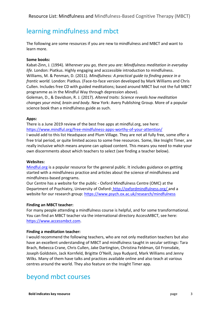## learning mindfulness and mbct

The following are some resources if you are new to mindfulness and MBCT and want to learn more.

#### **Some books:**

Kabat-Zinn, J. (1994). *Wherever you go, there you are: Mindfulness meditation in everyday life.* London: Piatkus. Highly engaging and acccessible introduction to mindfulness. Williams, M. & Penman, D. (2011). *Mindfulness: A practical guide to finding peace in a frantic world.* London: Piatkus. (Face-to-face version developed by Mark Williams and Chris Cullen. Includes free CD with guided meditations; based around MBCT but not the full MBCT programme as in the Mindful Way through depression above).

Goleman, D., & Davidson, R. J. (2017). *Altered traits: Science reveals how meditation changes your mind, brain and body*. New York: Avery Publishing Group. More of a popular science book than a mindfulness guide as such.

#### **Apps:**

There is a June 2019 review of the best free apps at mindful.org, see here: <https://www.mindful.org/free-mindfulness-apps-worthy-of-your-attention/>

I would add to this list Headspace and Plum Village. They are not all fully free, some offer a free trial period, or quite limited access to some free resources. Some, like Insight Timer, are really inclusive which means anyone can upload content. This means you need to make your own discernments about which teachers to select (see finding a teacher below).

#### **Websites:**

[Mindful.org](https://www.mindful.org/) is a popular resource for the general public. It includes guidance on getting started with a mindfulness practice and articles about the science of mindfulness and mindfulness-based programs.

Our Centre has a website for the public - Oxford Mindfulness Centre (OMC) at the Department of Psychiatry, University of Oxford: <http://oxfordmindfulness.org/> and a website for our research group:<https://www.psych.ox.ac.uk/research/mindfulness>

#### **Finding an MBCT teacher:**

For many people attending a mindfulness course is helpful, and for some transformational. You can find an MBCT teacher via the international directory AccessMBCT, see here: [https://www.accessmbct.com.](https://www.accessmbct.com/)

#### **Finding a meditation teacher:**

I would recommend the following teachers, who are not only meditation teachers but also have an excellent understanding of MBCT and mindfulness taught in secular settings: Tara Brach, Rebecca Crane, Chris Cullen, Jake Dartington, Christina Feldman, Gil Fronsdale, Joseph Goldstein, Jack Kornfeld, Brigitte O'Neill, Jaya Rudyard, Mark Williams and Jenny Wilks. Many of them have talks and practices available online and also teach at various centres around the world. They also feature on the Insight Timer app.

## beyond mbct courses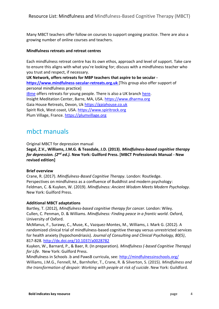Many MBCT teachers offer follow on courses to support ongoing practice. There are also a growing number of online courses and teachers.

#### **Mindfulness retreats and retreat centres**

Each mindfulness retreat centre has its own ethos, approach and level of support. Take care to ensure this aligns with what you're looking for; discuss with a mindfulness teacher who you trust and respect, if necessary.

**UK Network, offers retreats for MBP teachers that aspire to be secular [https://www.mindfulness-secular-retreats.org.uk](https://www.mindfulness-secular-retreats.org.uk/)** [This group also offer support of personal mindfulness practice] [iBme](https://ibme.com/programs/youth/) offers retreats for young people. There is also a UK branch [here.](http://www.ibme.org.uk/) Insight Meditation Center, Barre, MA, USA. [https://www.dharma.org](https://www.dharma.org/) Gaia House Retreats, Devon, Uk [https://gaiahouse.co.uk](https://gaiahouse.co.uk/) Spirit Rick, West coast, USA. [https://www.spiritrock.org](https://www.spiritrock.org/) Plum Village, France. [https://plumvillage.org](https://plumvillage.org/)

## mbct manuals

Original MBCT for depression manual

**Segal, Z.V., Williams, J.M.G. & Teasdale, J.D. (2013).** *Mindfulness-based cognitive therapy for depression. (2nd ed.).* **New York: Guilford Press. [MBCT Professionals Manual - New revised edition]**

#### **Brief overview**

Crane, R. (2017). *Mindfulness-Based Cognitive Therapy*. London: Routledge. Perspectives on mindfulness as a confluence of Buddhist and modern psychology: Feldman, C. & Kuyken, W. (2019). *Mindfulness: Ancient Wisdom Meets Modern Psychology*. New York: Guilford Press.

#### **Additional MBCT adaptations**

Bartley, T. (2012), *Mindfulness-based cognitive therapy for cancer*. London: Wiley. Cullen, C. Penman, D. & Williams. *Mindfulness: Finding peace in a frantic world*. Oxford, University of Oxford.

McManus, F., Surawy, C., Muse, K., Vazquez-Montes, M., Williams, J. Mark G. (2012). A randomized clinical trial of mindfulness-based cognitive therapy versus unrestricted services for health anxiety (hypochondriasis). *Journal of Consulting and Clinical Psychology, 80(5)*, 817-828. <http://dx.doi.org/10.1037/a0028782>

Kuyken, W., Barnard, P., & Baer, R. (In preparation). *Mindfulness (-based Cognitive Therapy) for Life.* New York: Guilford Press.

Mindfulness in Schools .b and PawsB curricula, see:<http://mindfulnessinschools.org/> Williams, J.M.G., Fennell, M., Barnhofer, T., Crane, R. & Silverton, S. (2015). *Mindfulness and the transformation of despair: Working with people at risk of suicide*. New York: Guildford.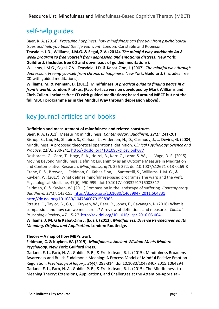## self-help guides

Baer, R. A. (2014). *Practising happiness: how mindfulness can free you from psychological traps and help you build the life you want*. London: Constable and Robinson.

**Teasdale, J.D., Williams, J.M.G. & Segal, Z.V. (2014).** *The mindful way workbook: An 8 week program to free yourself from depression and emotional distress***. New York: Guildford. (Includes free CD and downloads of guided meditations).**

Williams, J.M.G., Segal, Z.V., Teasdale, J.D. & Kabat-Zinn, J. (2007). *The mindful way through depression: Freeing yourself from chronic unhappiness.* New York: Guildford. (Includes free CD with guided meditations).

**Williams, M. & Penman, D. (2011). Mindfulness:** *A practical guide to finding peace in a frantic world.* **London: Piatkus. (Face-to-face version developed by Mark Williams and Chris Cullen. Includes free CD with guided meditations; based around MBCT but not the full MBCT programme as in the Mindful Way through depression above).**

# key journal articles and books

**Definition and measurement of mindfulness and related constructs**

Baer, R. A. (2011). Measuring mindfulness. *Contemporary Buddhism, 12(1),* 241-261. Bishop, S., Lau, M., Shapiro, S., Carlson, L., Anderson, N., D., Carmody, J., … Devins, G. (2004) Mindfulness: A proposed theoretical operational definition. *Clinical Psychology: Science and Practice, 11(3),* 230-241.<http://dx.doi.org/10.1093/clipsy.bph077>

Desbordes, G., Gard, T., Hoge, E. A., Holzel, B., Kerr, C., Lazar, S. W., . . . Vago, D. R. (2015). Moving Beyond Mindfulness: Defining Equanimity as an Outcome Measure in Meditation and Contemplative Research. *Mindfulness, 6(2),* 356-372. doi:10.1007/s12671-013-0269-8 Crane, R. S., Brewer, J., Feldman, C., Kabat-Zinn, J., Santorelli, S., Williams, J. M. G., & Kuyken, W. (2017). What defines mindfulness-based programs? The warp and the weft. Psychological Medicine, 47(6), 990-999. doi:10.1017/s0033291716003317 Feldman, C. & Kuyken, W. (2011) Compassion in the landscape of suffering. *Contemporary Buddhism, 12(1)*, 143-155.<http://dx.doi.org/10.1080/14639947.2011.564831> <http://dx.doi.org/10.1080/10478400701598363>

Strauss, C., Taylor, B., Gu, J., Kuyken, W., Baer, R., Jones, F., Cavanagh, K. (2016) What is compassion and how can we measure it? A review of definitions and measures. *Clinical Psychology Review, 47*, 15-27.<http://dx.doi.org/10.1016/j.cpr.2016.05.004>

**Williams, J. M. G & Kabat-Zinn J. (Eds.). (2013).** *Mindfulness: Diverse Perspectives on Its Meaning, Origins, and Application***. London: Routledge.**

#### **Theory – A map of how MBPs work**

#### **Feldman, C. & Kuyken, W. (2019).** *Mindfulness: Ancient Wisdom Meets Modern Psychology***. New York: Guilford Press.**

Garland, E. L., Farb, N. A., Goldin, P. R., & Fredrickson, B. L. (2015). Mindfulness Broadens Awareness and Builds Eudaimonic Meaning: A Process Model of Mindful Positive Emotion Regulation. *Psychological Inquiry, 26(4),* 293-314. doi:10.1080/1047840x.2015.1064294 Garland, E. L., Farb, N. A., Goldin, P. R., & Fredrickson, B. L. (2015). The Mindfulness-to-Meaning Theory: Extensions, Applications, and Challenges at the Attention-Appraisal-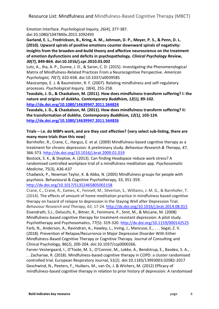Emotion Interface. *Psychological Inquiry, 26(4*), 377-387. doi:10.1080/1047840x.2015.1092493

**Garland, E. L., Fredrickson, B., Kring, A. M., Johnson, D. P., Meyer, P. S., & Penn, D. L. (2010). Upward spirals of positive emotions counter downward spirals of negativity: Insights from the broaden-and-build theory and affective neuroscience on the treatment of emotion dysfunctions and deficits in psychopathology.** *Clinical Psychology Review, 30(7)***, 849-864. doi:10.1016/j.cpr.2010.03.002**

Lutz, A., Jha, A. P., Dunne, J. D., & Saron, C. D. (2015). Investigating the Phenomenological Matrix of Mindfulness-Related Practices From a Neurocognitive Perspective. *American Psychologist, 70(7),* 632-658. doi:10.1037/a0039585

Masicampo, E. J. & Baumeister, R. F. (2007). Relating mindfulness and self-regulatory processes. *Psychological Inquiry, 18(4),* 255-258.

**Teasdale, J. D., & Chaskalson, M. (2011). How does mindfulness transform suffering? I: the nature and origins of dukkha.** *Contemporary Buddhism, 12(1),* **89-102. <http://dx.doi.org/10.1080/14639947.2011.564824>**

**Teasdale, J. D., & Chaskalson, M. (2011). How does mindfulness transform suffering? II: the transformation of dukkha.** *Contemporary Buddhism, 12(1),* **103-124. <http://dx.doi.org/10.1080/14639947.2011.564826>**

#### **Trials – i.e. do MBPs work, and are they cost effective? {very select sub-listing, there are many more trials than this now}**

Barnhofer, R., Crane, C., Hargus, E. et al. (2009) Mindfulness-based cognitive therapy as a treatment for chronic depression: A preliminary study. *Behaviour Research & Therapy, 47*, 366-373.<http://dx.doi.org/10.1016/j.brat.2009.01.019>

Bostock, S. K., & Steptoe, A. (2013). Can finding Headspace reduce work stress? A randomised controlled workplace trial of a mindfulness meditation app. *Psychosomatic Medicine*, 75(3), A36-A37

Chadwick, P., Newman Taylor, K. & Abba, N. (2005) Mindfulness groups for people with psychosis. Behavioural & Cognitive Psychotherapy, 33, 351-359.

<http://dx.doi.org/10.1017/S1352465805002158>

Crane, C., Crane, R., Eames, K., Fennell, M., Silverton, S., Williams, J. M. G., & Barnhofer, T. (2014). The effects of amount of home meditation practice in mindfulness based cognitive therapy on hazard of relapse to depression in the Staying Well after Depression Trial. *Behaviour Research and Therapy, 63*, 17-24.<http://dx.doi.org/10.1016/j.brat.2014.08.015> Eisendrath, S.J., Delucchi, K., Bitner, R., Fenimore, P., Smit, M., & McLane, M. (2008) Mindfulness-based cognitive therapy for treatment-resistant depression: A pilot study. Psychotherapy and Psychosomatics, 77(5): 319-320.<http://dx.doi.org/10.1159/000142525> Farb, N., Anderson, A., Ravindran, A., Hawley, L., Irving, J., Mancuso, E., . . . Segal, Z. V. (2018). Prevention of Relapse/Recurrence in Major Depressive Disorder With Either Mindfulness-Based Cognitive Therapy or Cognitive Therapy. Journal of Consulting and Clinical Psychology, 86(2), 200-204. doi:10.1037/ccp0000266.

Farver-Vestergaard, I., O'Toole, M. S., O'Connor, M., Lokke, A., Bendstrup, E., Basdeo, S. A., . . . Zachariae, R. (2018). Mindfulness-based cognitive therapy in COPD: a cluster randomised controlled trial. European Respiratory Journal, 51(2). doi:10.1183/13993003.02082-2017 Geschwind, N., Peeters, F., Huibers, M., van Os, J. & Wichers, M. (2012) Efficacy of mindfulness-based cognitive therapy in relation to prior history of depression: A randomised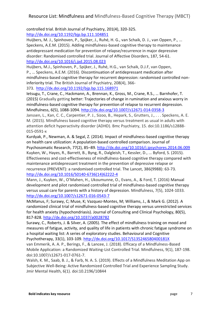controlled trial. British Journal of Psychiatry, 201(4), 320-325. <http://dx.doi.org/10.1192/bjp.bp.111.104851>

Huijbers, M. J., Spinhoven, P., Spijker, J., Ruhé, H. G., van Schaik, D. J., van Oppen, P., ... Speckens, A.E.M. (2015). Adding mindfulness-based cognitive therapy to maintenance antidepressant medication for prevention of relapse/recurrence in major depressive disorder: Randomised controlled trial. Journal of Affective Disorders, 187, 54-61. <http://dx.doi.org/10.1016/j.jad.2015.08.023>

Huijbers, M.J., Spinhoven, P., Spijker, J., Ruhé, H.G., van Schaik, D.J.F, van Oppen, P., … Speckens, A.E.M. (2016). Discontinuation of antidepressant medication after mindfulness-based cognitive therapy for recurrent depression: randomised controlled noninferiority trial. The British Journal of Psychiatry, 208(4), 366-

373. <http://dx.doi.org/10.1192/bjp.bp.115.168971>

Ietsugu, T., Crane, C., Hackmann, A., Brennan, K., Gross, M., Crane, R.S., … Barnhofer, T. (2015) Gradually getting better: Trajectories of change in rumination and anxious worry in mindfulness-based cognitive therapy for prevention of relapse to recurrent depression. Mindfulness, 6(5), 1088-1094.<http://dx.doi.org/10.1007/s12671-014-0358-3>

Janssen, L., Kan, C. C., Carpentier, P. J., Sizoo, B., Hepark, S., Grutters, J., . . . Speckens, A. E. M. (2015). Mindfulness based cognitive therapy versus treatment as usual in adults with attention deficit hyperactivity disorder (ADHD). Bmc Psychiatry, 15. doi:10.1186/s12888- 015-0591-x

Kurdyak, P., Newman, A. & Segal, Z. (2014). Impact of mindfulness-based cognitive therapy on health care utilization: A population-based controlled comparison. Journal of Psychosomatic Research, 77(2), 85–89.<http://dx.doi.org/10.1016/j.jpsychores.2014.06.009> Kuyken, W., Hayes, R., Barrett, B., Byng, R., Dalgleish, T., Kessler, D., ... Byford, S. (2015). Effectiveness and cost-effectiveness of mindfulness-based cognitive therapy compared with maintenance antidepressant treatment in the prevention of depressive relapse or recurrence (PREVENT): a randomised controlled trial. The Lancet, 386(9988): 63-73. [http://dx.doi.org/10.1016/S0140-6736\(14\)62222-4](http://dx.doi.org/10.1016/S0140-6736(14)62222-4)

Mann, J., Kuyken, W., O'Mahen, H., Ukoumunne, O., Evans, A., & Ford, T. (2016) Manual development and pilot randomised controlled trial of mindfulness-based cognitive therapy versus usual care for parents with a history of depression. Mindfulness, 7(5), 1024-1033. <http://dx.doi.org/10.1007/s12671-016-0543-7>

McManus, F; Surawy, C; Muse, K; Vazquez-Montes, M; Williams, J., & Mark G. (2012). A randomized clinical trial of mindfulness-based cognitive therapy versus unrestricted services for health anxiety (hypochondriasis). Journal of Consulting and Clinical Psychology, 80(5), 817-828.<http://dx.doi.org/10.1037/a0028782>

Surawy, C., Roberts, J. & Silver, A. (2005). The effect of mindfulness training on mood and measures of fatigue, activity, and quality of life in patients with chronic fatigue syndrome on a hospital waiting list: A series of exploratory studies. Behavioural and Cognitive Psychotherapy, 33(1), 103-109.<http://dx.doi.org/10.1017/S135246580400181X>

van Emmerik, A. A. P., Berings, F., & Lancee, J. (2018). Efficacy of a Mindfulness-Based Mobile Application: a Randomized Waiting-List Controlled Trial. Mindfulness, 9(1), 187-198. doi:10.1007/s12671-017-0761-7.

Walsh, K. M., Saab, B. J., & Farb, N. A. S. (2019). Effects of a Mindfulness Meditation App on Subjective Well-Being: Active Randomized Controlled Trial and Experience Sampling Study. Jmir Mental Health, 6(1). doi:10.2196/10844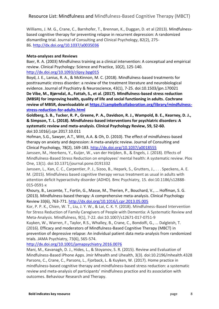Williams, J. M. G., Crane, C., Barnhofer, T., Brennan, K., Duggan, D. et al (2013). Mindfulnessbased cognitive therapy for preventing relapse in recurrent depression: A randomized dismantling trial. Journal of Consulting and Clinical Psychology, 82(2), 275- 86. <http://dx.doi.org/10.1037/a0035036>

#### **Meta-analyses and Reviews**

Baer, R. A. (2003) Mindfulness training as a clinical intervention: A conceptual and empirical review. Clinical Psychology: Science and Practice, 10(2), 125-140. <http://dx.doi.org/10.1093/clipsy.bpg015>

Boyd, J. E., Lanius, R. A., & McKinnon, M. C. (2018). Mindfulness-based treatments for posttraumatic stress disorder: a review of the treatment literature and neurobiological evidence. Journal of Psychiatry & Neuroscience, 43(1), 7-25. doi:10.1503/jpn.170021 **De Vibe, M., Bjørndal, A., Fattah, S., et al. (2017). Mindfulness-based stress reduction (MBSR) for improving health, quality of life and social functioning in adults. Cochrane review of MBSR, downloadable at [https://campbellcollaboration.org/library/mindfulness](https://campbellcollaboration.org/library/mindfulness-stress-reduction-for-adults.html)[stress-reduction-for-adults.html](https://campbellcollaboration.org/library/mindfulness-stress-reduction-for-adults.html)**

**Goldberg, S. B., Tucker, R. P., Greene, P. A., Davidson, R. J., Wampold, B. E., Kearney, D. J., & Simpson, T. L. (2018). Mindfulness-based interventions for psychiatric disorders: A systematic review and meta-analysis. Clinical Psychology Review, 59, 52-60.**

#### doi:10.1016/j.cpr.2017.10.011

Hofman, S.G., Sawyer, A.T., Witt, A.A. & Oh, D. (2010). The effect of mindfulness-based therapy on anxiety and depression: A meta-analytic review. Journal of Consulting and Clinical Psychology, 78(2), 169-183.<http://dx.doi.org/10.1037/a0018555>

Janssen, M., Heerkens, Y., Kuijer, W., van der Heijden, B., & Engels, J. (2018). Effects of Mindfulness-Based Stress Reduction on employees' mental health: A systematic review. Plos One, 13(1). doi:10.1371/journal.pone.0191332

Janssen, L., Kan, C. C., Carpentier, P. J., Sizoo, B., Hepark, S., Grutters, J., . . . Speckens, A. E. M. (2015). Mindfulness based cognitive therapy versus treatment as usual in adults with attention deficit hyperactivity disorder (ADHD). Bmc Psychiatry, 15. doi:10.1186/s12888- 015-0591-x

Khoury, B., Lecomte, T., Fortin, G., Masse, M., Therien, P., Bouchard, V., … Hoffman, S. G. (2013). Mindfulness-based therapy: A comprehensive meta-analysis. Clinical Psychology Review 33(6), 763-771.<http://dx.doi.org/10.1016/j.cpr.2013.05.005>

Kor, P. P. K., Chien, W. T., Liu, J. Y. W., & Lai, C. K. Y. (2018). Mindfulness-Based Intervention for Stress Reduction of Family Caregivers of People with Dementia: A Systematic Review and Meta-Analysis. Mindfulness, 9(1), 7-22. doi:10.1007/s12671-017-0751-9

Kuyken, W., Warren, F., Taylor, R.S., Whalley, B., Crane, C., Bondolfi, G., … Dalgleish, T. (2016). Efficacy and moderators of Mindfulness-Based Cognitive Therapy (MBCT) in prevention of depressive relapse: An individual patient data meta-analysis from randomized trials. JAMA Psychiatry, 73(6), 565-574.

<http://dx.doi.org/10.1001/jamapsychiatry.2016.0076>

Mani, M., Kavanagh, D. J., Hides, L., & Stoyanov, S. R. (2015). Review and Evaluation of Mindfulness-Based iPhone Apps. Jmir Mhealth and Uhealth, 3(3). doi:10.2196/mhealth.4328 Parsons, C., Crane, C., Parsons, L., Fjorback, L. & Kuyken, W. (2017). Home practice in mindfulness-based cognitive therapy and mindfulness-based stress reduction: a systematic review and meta-analysis of participants' mindfulness practice and its association with outcomes. Behaviour Research and Therapy.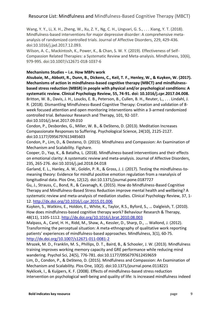Wang, Y. Y., Li, X. H., Zheng, W., Xu, Z. Y., Ng, C. H., Ungvari, G. S., . . . Xiang, Y. T. (2018). Mindfulness-based interventions for major depressive disorder: A comprehensive metaanalysis of randomized controlled trials. Journal of Affective Disorders, 229, 429-436. doi:10.1016/j.jad.2017.12.093.

Wilson, A. C., Mackintosh, K., Power, K., & Chan, S. W. Y. (2019). Effectiveness of Self-Compassion Related Therapies: a Systematic Review and Meta-analysis. Mindfulness, 10(6), 979-995. doi:10.1007/s12671-018-1037-6

#### **Mechanisms Studies – i.e. How MBPs work**

**Alsubaie, M., Abbott, R., Dunn, B., Dickens, C., Keil, T. F., Henley, W., & Kuyken, W. (2017). Mechanisms of action in mindfulness-based cognitive therapy (MBCT) and mindfulnessbased stress reduction (MBSR) in people with physical and/or psychological conditions: A systematic review. Clinical Psychology Review, 55, 74-91. doi: 10.1016/j.cpr.2017.04.008.** Britton, W. B., Davis, J. H., Loucks, E. B., Peterson, B., Cullen, B. H., Reuter, L., . . . Lindahl, J. R. (2018). Dismantling Mindfulness-Based Cognitive Therapy: Creation and validation of 8 week focused attention and open monitoring interventions within a 3-armed randomized controlled trial. Behaviour Research and Therapy, 101, 92-107.

doi:10.1016/j.brat.2017.09.010

Condon, P., Desbordes, G., Miller, W. B., & DeSteno, D. (2013). Meditation Increases Compassionate Responses to Suffering. Psychological Science, 24(10), 2125-2127. doi:10.1177/0956797613485603

Condon, P., Lim, D., & Desteno, D. (2015). Mindfulness and Compassion: An Examination of Mechanism and Scalability. Figshare.

Cooper, D., Yap, K., & Batalha, L. (2018). Mindfulness-based interventions and their effects on emotional clarity: A systematic review and meta-analysis. Journal of Affective Disorders, 235, 265-276. doi:10.1016/j.jad.2018.04.018

Garland, E. L., Hanley, A. W., Goldin, P. R., & Gross, J. J. (2017). Testing the mindfulness-tomeaning theory: Evidence for mindful positive emotion regulation from a reanalysis of longitudinal data. Plos One, 12(12). doi:10.1371/journal.pone.0187727

Gu, J., Strauss, C., Bond, R., & Cavanagh, K. (2015). How do Mindfulness-Based Cognitive Therapy and Mindfulness-Based Stress Reduction improve mental health and wellbeing? A systematic review and meta-analysis of mediation studies. Clinical Psychology Review, 37, 1- 12.<http://dx.doi.org/10.1016/j.cpr.2015.01.006>

Kuyken, S., Watkins, E., Holdon, E., White, K., Taylor, R.S., Byford, S., … Dalgleish, T. (2010). How does mindfulness-based cognitive therapy work? Behaviour Research & Therapy, 48(11), 1105-1112.<http://dx.doi.org/10.1016/j.brat.2010.08.003>

Malpass, A., Carel, H. H., Ridd, M., Shaw, A., Kessler, D., Sharp, D., … Wallond, J. (2012). [Transforming the perceptual situation: A meta-ethnography of qualitative work reporting](http://www.bris.ac.uk/social-community-medicine/people/alice-malpass/pub/2897495)  patients' [experiences of mindfulness-based approaches. M](http://www.bris.ac.uk/social-community-medicine/people/alice-malpass/pub/2897495)indfulness, 3(1), 60-75. <http://dx.doi.org/10.1007/s12671-011-0081-2>

Mrazek, M. D., Franklin, M. S., Phillips, D. T., Baird, B., & Schooler, J. W. (2013). Mindfulness training improves working memory capacity and GRE performance while reducing mind wandering. Psychol Sci, 24(5), 776-781. doi:10.1177/0956797612459659

Lim, D., Condon, P., & DeSteno, D. (2015). Mindfulness and Compassion: An Examination of Mechanism and Scalability. Plos One, 10(2). doi:10.1371/journal.pone.0118221 Nyklicek, I., & Kuijpers, K. F. (2008). Effects of mindfulness-based stress reduction

intervention on psychological well-being and quality of life: Is increased mindfulness indeed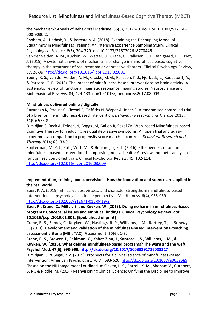the mechanism? Annals of Behavioral Medicine, 35(3), 331-340. doi:Doi 10.1007/S12160- 008-9030-2.

Shoham, A., Hadash, Y., & Bernstein, A. (2018). Examining the Decoupling Model of Equanimity in Mindfulness Training: An Intensive Experience Sampling Study. Clinical Psychological Science, 6(5), 704-720. doi:10.1177/2167702618770446

van der Velden, A. M., Kuyken, W., Wattar, U., Crane, C., Pallesen, K. J., Dahlgaard, J., ... Piet, J. (2015). A systematic review of mechanisms of change in mindfulness-based cognitive therapy in the treatment of recurrent major depressive disorder. Clinical Psychology Review, 37, 26-39.<http://dx.doi.org/10.1016/j.cpr.2015.02.001>

Young, K. S., van der Velden, A. M., Craske, M. G., Pallesen, K. J., Fjorback, L., Roepstorff, A., & Parsons, C. E. (2018). The impact of mindfulness-based interventions on brain activity: A systematic review of functional magnetic resonance imaging studies. Neuroscience and Biobehavioral Reviews, 84, 424-433. doi:10.1016/j.neubiorev.2017.08.003

#### **Mindfulness delivered online / digitally**

Cavanagh K, Strauss C, Cicconi F, Griffiths N, Wyper A, Jones F. A randomised controlled trial of a brief online mindfulness-based intervention. *Behaviour Research and Therapy* 2013; **51**(9): 573-8.

Dimidjian S, Beck A, Felder JN, Boggs JM, Gallop R, Segal ZV. Web-based Mindfulness-based Cognitive Therapy for reducing residual depressive symptoms: An open trial and quasiexperimental comparison to propensity score matched controls. *Behaviour Research and Therapy* 2014; **63**: 83-9.

Spijkerman, M. P. J., Pots, W. T. M., & Bohlmeijer, E. T. (2016). Effectiveness of online mindfulness-based interventions in improving mental health: A review and meta-analysis of randomised controlled trials. Clinical Psychology Review, 45, 102-114.

<http://dx.doi.org/10.1016/j.cpr.2016.03.009>

#### **Implementation, training and supervision – How the innovation and science are applied in the real world**

Baer, R. A. (2015). Ethics, values, virtues, and character strengths in mindfulness-based interventions: a psychological science perspective. Mindfulness, 6(4), 956-969. <http://dx.doi.org/10.1007/s12671-015-0419-2>

**Baer, R., Crane, C., Miller, E. and Kuyken, W. (2019). Doing no harm in mindfulness-based programs: Conceptual issues and empirical findings. Clinical Psychology Review. doi: 10.1016/j.cpr.2019.01.001. [Epub ahead of print]**

**Crane, R. S., Eames, C., Kuyken, W., Hastings, R. P., Williams, J. M., Bartley, T., ... Surawy, C. (2013). Development and validation of the mindfulness-based interventions–teaching assessment criteria (MBI: TAC). Assessment, 20(6), 1-8.**

**Crane, R. S., Brewer, J., Feldman, C., Kabat-Zinn, J., Santorelli, S., Williams, J. M., & Kuyken, W. (2016). What defines mindfulness-based programs? The warp and the weft. Psychol Med, 47(6), 990-999.<http://dx.doi.org/10.1017/S0033291716003317>**

Dimidjian, S. & Segal, Z.V. (2015). Prospects for a clinical science of mindfulness-based intervention. American Psychologist, 70(7), 593-620. [http://dx.doi.org/10.1037/a0039589.](http://dx.doi.org/10.1037/a0039589) [Based on the NIH stage model outlined in: Onken, L. S., Carroll, K. M., Shoham V., Cuthbert, B. N., & Riddle, M. (2014) Reenvisioning Clinical Science: Unifying the Discipline to Improve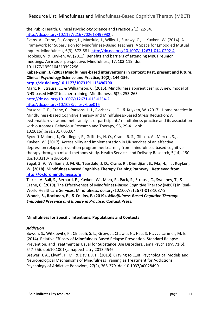the Public Health. Clinical Psychology Science and Practice 2(1), 22-34. [http://dx.doi.org/10.1177/2167702613497932\]](http://dx.doi.org/10.1177/2167702613497932).

Evans, A., Crane, R., Cooper, L., Mardula, J., Wilks, J., Surawy, C., … Kuyken, W. (2014). A Framework for Supervision for Mindfulness-Based Teachers: A Space for Embodied Mutual Inquiry. Mindfulness, 6(3), 572-581.<http://dx.doi.org/10.1007/s12671-014-0292-4>

Hopkins, V. & Kuyken, W. (2011). Benefits and barriers of attending MBCT reunion meetings: An insider perspective. Mindfulness, 17, 103-119. doi:

10.1177/1359104510392296

**Kabat-Zinn, J. (2003) Mindfulness-based interventions in context: Past, present and future. Clinical Psychology Science and Practice, 10(2), 144-156.** 

**<http://dx.doi.org/10.1177/1073191113490790>**

Marx, R., Strauss, C., & Williamson, C. (2015). Mindfulness apprenticeship: A new model of NHS-based MBCT teacher training. Mindfulness, 6(2), 253-263.

<http://dx.doi.org/10.1007/s12671-013-0254-2>

#### <http://dx.doi.org/10.1093/clipsy/bpg016>

Parsons, C. E., Crane, C., Parsons, L. J., Fjorback, L. O., & Kuyken, W. (2017). Home practice in Mindfulness-Based Cognitive Therapy and Mindfulness-Based Stress Reduction: A systematic review and meta-analysis of participants' mindfulness practice and its association with outcomes. Behaviour Research and Therapy, 95, 29-41. doi:

10.1016/j.brat.2017.05.004

Rycroft-Malone, J., Gradinger, F., Griffiths, H. O., Crane, R. S., Gibson, A., Mercer, S., . . . Kuyken, W. (2017). Accessibility and implementation in UK services of an effective depression relapse prevention programme: Learning from mindfulness-based cognitive therapy through a mixed-methods study. Health Services and Delivery Research, 5(14), 190. doi:10.3310/hsdr05140

**Segal, Z. V., Williams, J. M. G., Teasdale, J. D., Crane, R., Dimidjian, S., Ma, H., . . . Kuyken, W. (2018). Mindfulness-based Cognitive Therapy Training Pathway. Retrieved from [http://oxfordmindfulness.org](http://oxfordmindfulness.org/)**

Tickell, A. Ball, S., Bernard, P., Kuyken, W., Marx, R., Pack, S., Strauss, C., Sweeney, T., & Crane, C. (2019). The Effectiveness of Mindfulness-Based Cognitive Therapy (MBCT) in Real-World Healthcare Services. Mindfulness. doi.org/10.1007/s12671-018-1087-9. **Woods, S., Rockman, P., & Collins, E. (2019).** *Mindfulness-Based Cognitive Therapy:* 

*Embodied Presence and Inquiry in Practice***: Context Press.**

#### **Mindfulness for Specific Intentions, Populations and Contexts**

#### *Addiction*

Bowen, S., Witkiewitz, K., Clifasefi, S. L., Grow, J., Chawla, N., Hsu, S. H., . . . Larimer, M. E. (2014). Relative Efficacy of Mindfulness-Based Relapse Prevention, Standard Relapse Prevention, and Treatment as Usual for Substance Use Disorders. Jama Psychiatry, 71(5), 547-556. doi:10.1001/jamapsychiatry.2013.4546

Brewer, J. A., Elwafi, H. M., & Davis, J. H. (2013). Craving to Quit: Psychological Models and Neurobiological Mechanisms of Mindfulness Training as Treatment for Addictions. Psychology of Addictive Behaviors, 27(2), 366-379. doi:10.1037/a0028490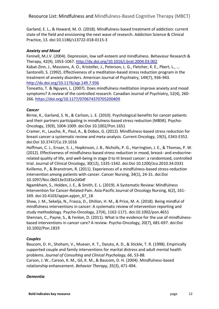Garland, E. L., & Howard, M. O. (2018). Mindfulness-based treatment of addiction: current state of the field and envisioning the next wave of research. Addiction Science & Clinical Practice, 13. doi:10.1186/s13722-018-0115-3

#### *Anxiety and Mood*

Fennell, M.J.V. (2004). Depression, low self-esteem and mindfulness. Behaviour Research & Therapy, 42(9), 1053-1067.<http://dx.doi.org/10.1016/j.brat.2004.03.002>

Kabat-Zinn, J., Massions, A. O., Kristeller, J., Peterson, L. G., Fletcher, K. E., Pbert, L., … Santorelli, S. (1992). Effectiveness of a meditation-based stress reduction program in the treatment of anxiety disorders. American Journal of Psychiatry, 149(7), 936-943. <http://dx.doi.org/10.1176/ajp.149.7.936>

Toneatto, T. & Nguyen, L. (2007). Does mindfulness meditation improve anxiety and mood symptoms? A review of the controlled research. Canadian Journal of Psychiatry, 52(4), 260- 266.<https://doi.org/10.1177/070674370705200409>

#### *Cancer*

Birnie, K., Garland, S. N., & Carlson, L. E. (2010). Psychological benefits for cancer patients and their partners participating in mindfulness-based stress reduction (MBSR). Psycho-Oncology, 19(9), 1004-1009. doi:Doi 10.1002/Pon.1651

Cramer, H., Lauche, R., Paul, A., & Dobos, G. (2012). Mindfulness-based stress reduction for breast cancer-a systematic review and meta-analysis. Current Oncology, 19(5), E343-E352. doi:Doi 10.3747/Co.19.1016

Hoffman, C. J., Ersser, S. J., Hopkinson, J. B., Nicholls, P. G., Harrington, J. E., & Thomas, P. W. (2012). Effectiveness of mindfulness-based stress reduction in mood, breast- and endocrinerelated quality of life, and well-being in stage 0 to III breast cancer: a randomized, controlled trial. Journal of Clinical Oncology, 30(12), 1335-1342. doi:Doi 10.1200/Jco.2010.34.0331 Kvillemo, P., & Branstrom, R. (2011). Experiences of a mindfulness-based stress-reduction intervention among patients with cancer. Cancer Nursing, 34(1), 24-31. doi:Doi 10.1097/Ncc.0b013e3181e2d0df

Ngamkham, S., Holden, J. E., & Smith, E. L. (2019). A Systematic Review: Mindfulness Intervention for Cancer-Related Pain. Asia-Pacific Journal of Oncology Nursing, 6(2), 161- 169. doi:10.4103/apjon.apjon\_67\_18

Shaw, J. M., Sekelja, N., Frasca, D., Dhillon, H. M., & Price, M. A. (2018). Being mindful of mindfulness interventions in cancer: A systematic review of intervention reporting and study methodology. Psycho-Oncology, 27(4), 1162-1171. doi:10.1002/pon.4651 Shennan, C., Payne, S., & Fenlon, D. (2011). What is the evidence for the use of mindfulnessbased interventions in cancer care? A review. Psycho-Oncology, 20(7), 681-697. doi:Doi 10.1002/Pon.1819

#### *Couples*

Baucom, D. H., Shoham, V., Mueser, K. T., Daiuto, A. D., & Stickle, T. R. (1998). Empirically supported couple and family interventions for marital distress and adult mental health problems. *Journal of Consulting and Clinical Psychology, 66*, 53-88.

Carson, J. W., Carson, K. M., Gil, K. M., & Baucom, D. H. (2004). Mindfulness-based relationship enhancement. *Behavior Therapy, 35(3*), 471-494.

#### *Dementia*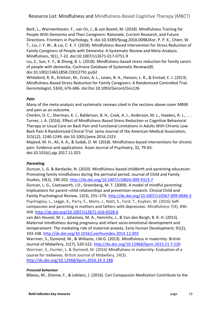Berk, L., Warmenhoven, F., van Os, J., & van Boxtel, M. (2018). Mindfulness Training for People With Dementia and Their Caregivers: Rationale, Current Research, and Future Directions. Frontiers in Psychology, 9. doi:10.3389/fpsyg.2018.00982Kor, P. P. K., Chien, W. T., Liu, J. Y. W., & Lai, C. K. Y. (2018). Mindfulness-Based Intervention for Stress Reduction of Family Caregivers of People with Dementia: A Systematic Review and Meta-Analysis. Mindfulness, 9(1), 7-22. doi:10.1007/s12671-017-0751-9

Liu, Z., Sun, Y. Y., & Zhong, B. L. (2018). Mindfulness-based stress reduction for family carers of people with dementia. Cochrane Database of Systematic Reviews(8).

doi:10.1002/14651858.CD012791.pub2

Whitebird, R. R., Kreitzer, M., Crain, A. L., Lewis, B. A., Hanson, L. R., & Enstad, C. J. (2013). Mindfulness-Based Stress Reduction for Family Caregivers: A Randomized Controlled Trial. Gerontologist, 53(4), 676-686. doi:Doi 10.1093/Geront/Gns126

#### *Pain*

Many of the meta-analysis and systematic reviews cited in the sections above cover MBSR and pain as an outcome.

Cherkin, D. C., Sherman, K. J., Balderson, B. H., Cook, A. J., Anderson, M. L., Hawkes, R. J., . . . Turner, J. A. (2016). Effect of Mindfulness-Based Stress Reduction vs Cognitive Behavioral Therapy or Usual Care on Back Pain and Functional Limitations in Adults With Chronic Low Back Pain A Randomized Clinical Trial. Jama-Journal of the American Medical Association, 315(12), 1240-1249. doi:10.1001/jama.2016.2323

Majeed, M. H., Ali, A. A., & Sudak, D. M. (2018). Mindfulness-based interventions for chronic pain: Evidence and applications. Asian Journal of Psychiatry, 32, 79-83. doi:10.1016/j.ajp.2017.11.025

#### *Parenting*

Duncan, L. G. & Bardacke, N. (2010). Mindfulness-based childbirth and parenting education: Promoting family mindfulness during the perinatal period. Journal of Child and Family Studies, 19(2), 190-202.<http://dx.doi.org/10.1007/s10826-009-9313-7>

Duncan, L. G., Coatsworth, J.D., Greenberg, M. T. (2009). A model of mindful parenting: Implications for parent–child relationships and prevention research. Clinical Child and Family Psychological Review, 12(3), 255–270.<http://dx.doi.org/10.1007/s10567-009-0046-3> Psychogiou, L., Legge, K., Parry, E., Mann, J., Nath, S., Ford, T., Kuyken, W. (2016) Selfcompassion and parenting in mothers and fathers with depression. Mindfulness 7(4), 896- 908.<http://dx.doi.org/10.1007/s12671-016-0528-6>

van den Heuvel, M. I., Johannes, M. A., Henrichs, J., & Van den Bergh, B. R. H. (2015). Maternal mindfulness during pregnancy and infant socio-emotional development and temperament: The mediating role of maternal anxiety. Early Human Development, 91(2), 103-108.<http://dx.doi.org/10.1016/j.earlhumdev.2014.12.003>

Warriner, S., Dymond, M., & Williams, J.M.G. (2013). Mindfulness in maternity. British Journal of Midwifery, 21(7), 520-522.<http://dx.doi.org/10.12968/bjom.2013.21.7.520> Warriner, S., Hunter, L. & Dymond, M. (2016) Mindfulness in maternity: Evaluation of a course for midwives. British Journal of Midwifery, 24(3). <http://dx.doi.org/10.12968/bjom.2016.24.3.188>

#### *Prosocial behaviour*

Bibeau, M., Dionne, F., & Leblanc, J. (2016). Can Compassion Meditation Contribute to the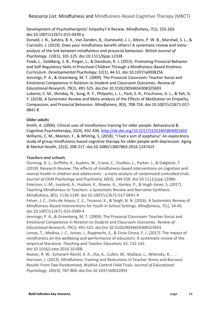Development of Psychotherapists' Empathy? A Review. *Mindfulness, 7*(1), 255-263. doi:10.1007/s12671-015-0439-y

Donald, J. N., Sahdra, B. K., Van Zanden, B., Duineveld, J. J., Atkins, P. W. B., Marshall, S. L., & Ciarrochi, J. (2019). Does your mindfulness benefit others? A systematic review and metaanalysis of the link between mindfulness and prosocial behaviour. *British Journal of Psychology, 110*(1), 101-125. doi:10.1111/bjop.12338

Flook, L., Goldberg, S. B., Pinger, L., & Davidson, R. J. (2015). Promoting Prosocial Behavior and Self-Regulatory Skills in Preschool Children Through a Mindfulness-Based Kindness Curriculum. *Developmental Psychology, 51*(1), 44-51. doi:10.1037/a0038256 Jennings, P. A., & Greenberg, M. T. (2009). The Prosocial Classroom: Teacher Social and Emotional Competence in Relation to Student and Classroom Outcomes. *Review of Educational Research, 79*(1), 491-525. doi:Doi 10.3102/0034654308325693 Luberto, C. M., Shinday, N., Song, R. Y., Philpotts, L. L., Park, E. R., Fricchione, G. L., & Yeh, G. Y. (2018). A Systematic Review and Meta-analysis of the Effects of Meditation on Empathy, Compassion, and Prosocial Behaviors. *Mindfulness, 9*(3), 708-724. doi:10.1007/s12671-017- 0841-8

#### *Older adults*

Smith, A. (2004). Clinical uses of mindfulness training for older people. Behavioural & Cognitive Psychotherapy, 32(4), 432-430.<http://dx.doi.org/10.1017/S1352465804001602> Williams, C. M., Meeten, F., & Whiting, S. (2018). "I had a sort of epiphany!' An exploratory study of group mindfulness-based cognitive therapy for older people with depression. Aging & Mental Health, 22(2), 208-217. doi:10.1080/13607863.2016.1247415

#### *Teachers and schools*

Dunning, D. L., Griffiths, K., Kuyken, W., Crane, C., Foulkes, L., Parker, J., & Dalgleish, T. (2019). Research Review: The effects of mindfulness-based interventions on cognition and mental health in children and adolescents - a meta-analysis of randomized controlled trials. *Journal of Child Psychology and Psychiatry, 60(3),* 244-258. doi:10.1111/jcpp.12980. Emerson, L.-M., Leyland, A., Hudson, K., Rowse, G., Hanley, P., & Hugh-Jones, S. (2017). Teaching Mindfulness to Teachers: a Systematic Review and Narrative Synthesis. *Mindfulness, 8(5),* 1136-1149. doi:10.1007/s12671-017-0691-4

Felver, J. C., Celis-de Hoyos, C. E., Tezanos, K., & Singh, N. N. (2016). A Systematic Review of Mindfulness-Based Interventions for Youth in School Settings. *Mindfulness, 7*(1), 34-45. doi:10.1007/s12671-015-0389-4

Jennings, P. A., & Greenberg, M. T. (2009). The Prosocial Classroom: Teacher Social and Emotional Competence in Relation to Student and Classroom Outcomes. *Review of Educational Research, 79*(1), 491-525. doi:Doi 10.3102/0034654308325693

Lomas, T., Medina, J. C., Ivtzan, I., Rupprecht, S., & Eiroa-Orosa, F. J. (2017). The impact of mindfulness on the wellbeing and performance of educators: A systematic review of the empirical literature. *Teaching and Teacher Education, 61*, 132-141. doi:10.1016/j.tate.2016.10.008

Roeser, R. W., Schonert-Reichl, K. A., Jha, A., Cullen, M., Wallace, L., Wilensky, R., . . . Harrison, J. (2013). Mindfulness Training and Reductions in Teacher Stress and Burnout: Results From Two Randomized, Waitlist-Control Field Trials. *Journal of Educational Psychology, 105(3),* 787-804. doi:Doi 10.1037/A0032093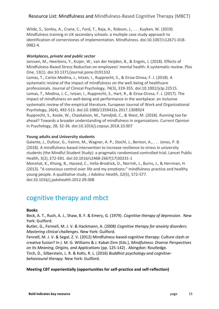Wilde, S., Sonley, A., Crane, C., Ford, T., Raja, A., Robson, J., . . . Kuyken, W. (2019). Mindfulness training in UK secondary schools: a multiple case study approach to identification of cornerstones of implementation. Mindfulness. doi:10.1007/s12671-018-0982-4.

#### *Workplaces, private and public sector*

Janssen, M., Heerkens, Y., Kuijer, W., van der Heijden, B., & Engels, J. (2018). Effects of Mindfulness-Based Stress Reduction on employees' mental health: A systematic review. Plos One, 13(1). doi:10.1371/journal.pone.0191332

Lomas, T., Carlos Medina, J., Ivtzan, I., Rupprecht, S., & Eiroa-Orosa, F. J. (2018). A systematic review of the impact of mindfulness on the well-being of healthcare professionals. Journal of Clinical Psychology, 74(3), 319-355. doi:10.1002/jclp.22515. Lomas, T., Medina, J. C., Ivtzan, I., Rupprecht, S., Hart, R., & Eiroa-Orosa, F. J. (2017). The impact of mindfulness on well-being and performance in the workplace: an inclusive systematic review of the empirical literature. European Journal of Work and Organizational Psychology, 26(4), 492-513. doi:10.1080/1359432x.2017.1308924 Rupprecht, S., Koole, W., Chaskalson, M., Tamdjidi, C., & West, M. (2018). Running too far ahead? Towards a broader understanding of mindfulness in organisations. Current Opinion in Psychology, 28, 32-36. doi:10.1016/j.copsyc.2018.10.007

#### **Young adults and University students**

Galante, J., Dufour, G., Vainre, M., Wagner, A. P., Stochl, J., Benton, A., . . . Jones, P. B. (2018). A mindfulness-based intervention to increase resilience to stress in university students (the Mindful Student Study): a pragmatic randomised controlled trial. Lancet Public Health, 3(2), E72-E81. doi:10.1016/s2468-2667(17)30231-1

Monshat, K., Khong, B., Hassed, C., Vella-Brodrick, D., Norrish, J., Burns, J., & Herrman, H. (2013). "A conscious control over life and my emotions:" mindfulness practice and healthy young people. A qualitative study. *J Adolesc Health, 52*(5), 572-577. doi:10.1016/j.jadohealth.2012.09.008

### cognitive therapy and mbct

#### **Books**

Beck, A. T., Rush, A. J., Shaw, B. F. & Emery, G. (1979). *Cognitive therapy of depression*. New York: Guilford.

Butler, G., Fennell, M. J. V. & Hackmann, A. (2008) *Cognitive therapy for anxiety disorders: Mastering clinical challenges.* New York: Guilford.

Fennell, M. J. V. & Segal, Z. V. (2012) Mindfulness-based cognitive therapy: Culture clash or creative fusion? In J. M. G. Williams & J. Kabat-Zinn (Eds.), *Mindfulness: Diverse Perspectives on Its Meaning, Origins, and Applications* (pp. 125-142) . Abingdon: Routledge.

Tirch, D., Silberstein, L. R. & Kolts, R. L. (2016) *Buddhist psychology and cognitivebehavioural therapy.* New York: Guilford.

#### **Meeting CBT experientially (opportunities for self-practice and self-reflection)**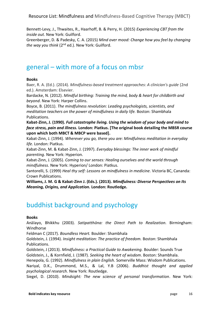Bennett-Levy, J., Thwaites, R., Haarhoff, B. & Perry, H. (2015) *Experiencing CBT from the inside out.* New York: Guilford.

Greenberger, D. & Padesky, C. A. (2015) *Mind over mood: Change how you feel by changing the way you think* (2nd ed.)*.* New York: Guilford.

## general – with more of a focus on mbsr

#### **Books**

Baer, R. A. (Ed.). (2014). *Mindfulness-based treatment approaches: A clinician's guide* (2nd ed.). Amsterdam: Elsevier.

Bardacke, N. (2012). *Mindful birthing: Training the mind, body & heart for childbirth and beyond*. New York: Harper Collins.

Boyce, B. (2011). *The mindfulness revolution: Leading psychologists, scientists, and meditation teachers on the power of mindfulness in daily life.* Boston: Shambhala Publications.

**Kabat-Zinn, J. (1990).** *Full catastrophe living. Using the wisdom of your body and mind to face stress, pain and illness.* **London: Piatkus. [The original book detailing the MBSR course upon which both MBCT & MBCP were based].**

Kabat-Zinn, J. (1994). *Wherever you go, there you are: Mindfulness meditation in everyday life.* London: Piatkus.

Kabat-Zinn, M. & Kabat-Zinn, J. (1997). *Everyday blessings: The inner work of mindful parenting.* New York: Hyperion.

Kabat-Zinn, J. (2005). *Coming to our senses: Healing ourselves and the world through mindfulness.* New York: Hyperion/ London: Piatkus.

Santorelli, S. (1999) *Heal thy self: Lessons on mindfulness in medicine.* Victoria BC, Cananda: Crown Publications.

**Williams, J. M. G & Kabat-Zinn J. (Eds.). (2013).** *Mindfulness: Diverse Perspectives on Its Meaning, Origins, and Application.* **London: Routledge.**

## buddhist background and psychology

#### **Books**

Anālayo, Bhikkhu (2003). *Satipatthāna: the Direct Path to Realization.* Birmingham: Windhorse

Feldman C (2017). *Boundless Heart.* Boulder: Shambhala

Goldstein, J. (1994). *Insight meditation: The practice of freedom.* Boston: Shambhala Publications.

Goldstein, J (2013). *Mindfulness: a Practical Guide to Awakening.* Boulder: Sounds True Goldstein, J., & Kornfield, J. (1987). *Seeking the heart of wisdom*. Boston: Shambhala.

Henepola, G. (1992). *Mindfulness in plain English.* Somerville Mass: Wisdom Publications.

Nariyal, D.K., Drummond, M.S., & Lal, Y.B (2006). *Buddhist thought and applied psychological research.* New York: Routledge.

Siegel, D. (2010). *Mindsight: The new science of personal transformation*. New York: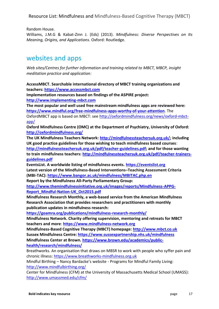Random House.

Williams, J.M.G & Kabat-Zinn J. (Eds) (2013). *Mindfulness: Diverse Perspectives on Its Meaning, Origins, and Applications.* Oxford: Routledge.

## websites and apps

*Web sites/Centres for further information and training related to MBCT, MBCP, insight meditation practice and application:*

**AccessMBCT. Searchable international directory of MBCT training organizations and teachers[: https://www.accessmbct.com](https://www.accessmbct.com/)**

**Implementation resources based on findings of the ASPIRE project: [http://www.implementing-mbct.com](http://www.implementing-mbct.com/)**

**The most popular and well used free mainstream mindfulness apps are reviewed here: <https://www.mindful.org/free-mindfulness-apps-worthy-of-your-attention>**. The OxfordMBCT app is based on MBCT: see [http://oxfordmindfulness.org/news/oxford-mbct](http://oxfordmindfulness.org/news/oxford-mbct-app/)[app/](http://oxfordmindfulness.org/news/oxford-mbct-app/)

**Oxford Mindfulness Centre (OMC) at the Department of Psychiatry, University of Oxford: <http://oxfordmindfulness.org/>**

**The UK Mindfulness Teachers Network: [http://mindfulnessteachersuk.org.uk/;](http://mindfulnessteachersuk.org.uk/) including UK good practice guidelines for those wishing to teach mindfulness based courses**: **[http://mindfulnessteachersuk.org.uk/pdf/teacher-guidelines.pdf;](http://mindfulnessteachersuk.org.uk/pdf/teacher-guidelines.pdf) and for those wanting to train mindfulness teachers: [http://mindfulnessteachersuk.org.uk/pdf/teacher-trainers](http://mindfulnessteachersuk.org.uk/pdf/teacher-trainers-guidelines.pdf)[guidelines.pdf](http://mindfulnessteachersuk.org.uk/pdf/teacher-trainers-guidelines.pdf)**

**EventsList. A worldwide listing of mindfulness events. [https://eventslist.org](https://eventslist.org/) Latest version of the Mindfulness-Based Interventions–Teaching Assessment Criteria (MBI-TAC):<https://www.bangor.ac.uk/mindfulness/MBITAC.php.en>**

**Report by the Mindfulness All-Party Parliamentary Group:**

**[http://www.themindfulnessinitiative.org.uk/images/reports/Mindfulness-APPG-](http://www.themindfulnessinitiative.org.uk/images/reports/Mindfulness-APPG-Report_Mindful-Nation-UK_Oct2015.pdf)[Report\\_Mindful-Nation-UK\\_Oct2015.pdf](http://www.themindfulnessinitiative.org.uk/images/reports/Mindfulness-APPG-Report_Mindful-Nation-UK_Oct2015.pdf)**

**Mindfulness Research Monthly, a web-based service from the American Mindfulness Research Association that provides researchers and practitioners with monthly publication updates in mindfulness research:** 

**<https://goamra.org/publications/mindfulness-research-monthly/>**

**Mindfulness Network. Charity offering supervision, mentoring and retreats for MBCT teachers and more**: **[https://www.mindfulness-network.org](https://www.mindfulness-network.org/)**

**Mindfulness-Based Cognitive Therapy (MBCT) homepage: [http://www.mbct.co.uk](http://www.mbct.co.uk/) Sussex Mindfulness Centre:<https://www.sussexpartnership.nhs.uk/mindfulness> Mindfulness Center at Brown. [https://www.brown.edu/academics/public](https://www.brown.edu/academics/public-health/research/mindfulness/)[health/research/mindfulness/](https://www.brown.edu/academics/public-health/research/mindfulness/)**

Breathworks. An organisation that draws on MBSR to work with people who syffer pain and chronic illness: [https://www.breathworks-mindfulness.org.uk](https://www.breathworks-mindfulness.org.uk/)

Mindful Birthing – Nancy Bardacke's website - Programs for Mindful Family Living: <http://www.mindfulbirthing.org/>

Center for Mindfulness (CFM) at the University of Massachusetts Medical School (UMASS): <http://www.umassmed.edu/cfm/>